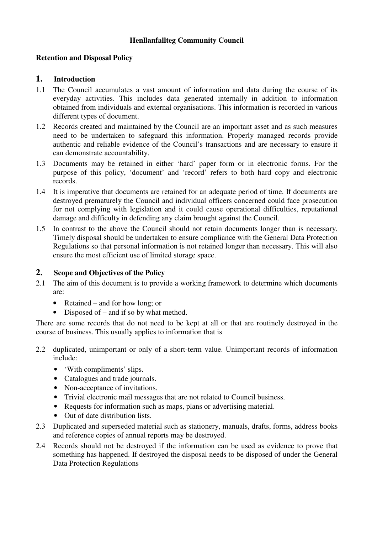### **Henllanfallteg Community Council**

### **Retention and Disposal Policy**

#### **1. Introduction**

- 1.1 The Council accumulates a vast amount of information and data during the course of its everyday activities. This includes data generated internally in addition to information obtained from individuals and external organisations. This information is recorded in various different types of document.
- 1.2 Records created and maintained by the Council are an important asset and as such measures need to be undertaken to safeguard this information. Properly managed records provide authentic and reliable evidence of the Council's transactions and are necessary to ensure it can demonstrate accountability.
- 1.3 Documents may be retained in either 'hard' paper form or in electronic forms. For the purpose of this policy, 'document' and 'record' refers to both hard copy and electronic records.
- 1.4 It is imperative that documents are retained for an adequate period of time. If documents are destroyed prematurely the Council and individual officers concerned could face prosecution for not complying with legislation and it could cause operational difficulties, reputational damage and difficulty in defending any claim brought against the Council.
- 1.5 In contrast to the above the Council should not retain documents longer than is necessary. Timely disposal should be undertaken to ensure compliance with the General Data Protection Regulations so that personal information is not retained longer than necessary. This will also ensure the most efficient use of limited storage space.

### **2. Scope and Objectives of the Policy**

- 2.1 The aim of this document is to provide a working framework to determine which documents are:
	- Retained and for how long; or
	- Disposed of and if so by what method.

There are some records that do not need to be kept at all or that are routinely destroyed in the course of business. This usually applies to information that is

- 2.2 duplicated, unimportant or only of a short-term value. Unimportant records of information include:
	- 'With compliments' slips.
	- Catalogues and trade journals.
	- Non-acceptance of invitations.
	- Trivial electronic mail messages that are not related to Council business.
	- Requests for information such as maps, plans or advertising material.
	- Out of date distribution lists.
- 2.3 Duplicated and superseded material such as stationery, manuals, drafts, forms, address books and reference copies of annual reports may be destroyed.
- 2.4 Records should not be destroyed if the information can be used as evidence to prove that something has happened. If destroyed the disposal needs to be disposed of under the General Data Protection Regulations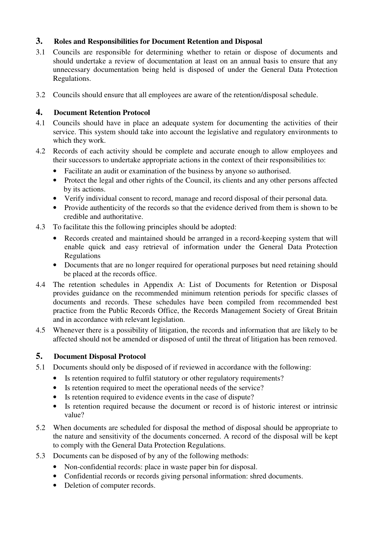## **3. Roles and Responsibilities for Document Retention and Disposal**

- 3.1 Councils are responsible for determining whether to retain or dispose of documents and should undertake a review of documentation at least on an annual basis to ensure that any unnecessary documentation being held is disposed of under the General Data Protection Regulations.
- 3.2 Councils should ensure that all employees are aware of the retention/disposal schedule.

## **4. Document Retention Protocol**

- 4.1 Councils should have in place an adequate system for documenting the activities of their service. This system should take into account the legislative and regulatory environments to which they work.
- 4.2 Records of each activity should be complete and accurate enough to allow employees and their successors to undertake appropriate actions in the context of their responsibilities to:
	- Facilitate an audit or examination of the business by anyone so authorised.
	- Protect the legal and other rights of the Council, its clients and any other persons affected by its actions.
	- Verify individual consent to record, manage and record disposal of their personal data.
	- Provide authenticity of the records so that the evidence derived from them is shown to be credible and authoritative.
- 4.3 To facilitate this the following principles should be adopted:
	- Records created and maintained should be arranged in a record-keeping system that will enable quick and easy retrieval of information under the General Data Protection Regulations
	- Documents that are no longer required for operational purposes but need retaining should be placed at the records office.
- 4.4 The retention schedules in Appendix A: List of Documents for Retention or Disposal provides guidance on the recommended minimum retention periods for specific classes of documents and records. These schedules have been compiled from recommended best practice from the Public Records Office, the Records Management Society of Great Britain and in accordance with relevant legislation.
- 4.5 Whenever there is a possibility of litigation, the records and information that are likely to be affected should not be amended or disposed of until the threat of litigation has been removed.

# **5. Document Disposal Protocol**

- 5.1 Documents should only be disposed of if reviewed in accordance with the following:
	- Is retention required to fulfil statutory or other regulatory requirements?
	- Is retention required to meet the operational needs of the service?
	- Is retention required to evidence events in the case of dispute?
	- Is retention required because the document or record is of historic interest or intrinsic value?
- 5.2 When documents are scheduled for disposal the method of disposal should be appropriate to the nature and sensitivity of the documents concerned. A record of the disposal will be kept to comply with the General Data Protection Regulations.
- 5.3 Documents can be disposed of by any of the following methods:
	- Non-confidential records: place in waste paper bin for disposal.
	- Confidential records or records giving personal information: shred documents.
	- Deletion of computer records.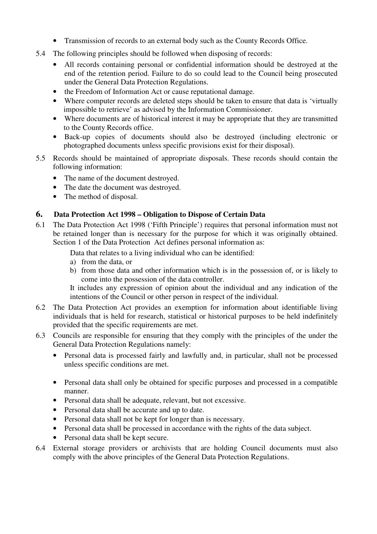- Transmission of records to an external body such as the County Records Office.
- 5.4 The following principles should be followed when disposing of records:
	- All records containing personal or confidential information should be destroyed at the end of the retention period. Failure to do so could lead to the Council being prosecuted under the General Data Protection Regulations.
	- the Freedom of Information Act or cause reputational damage.
	- Where computer records are deleted steps should be taken to ensure that data is 'virtually impossible to retrieve' as advised by the Information Commissioner.
	- Where documents are of historical interest it may be appropriate that they are transmitted to the County Records office.
	- Back-up copies of documents should also be destroyed (including electronic or photographed documents unless specific provisions exist for their disposal).
- 5.5 Records should be maintained of appropriate disposals. These records should contain the following information:
	- The name of the document destroyed.
	- The date the document was destroyed.
	- The method of disposal.

# **6. Data Protection Act 1998 – Obligation to Dispose of Certain Data**

6.1 The Data Protection Act 1998 ('Fifth Principle') requires that personal information must not be retained longer than is necessary for the purpose for which it was originally obtained. Section 1 of the Data Protection Act defines personal information as:

Data that relates to a living individual who can be identified:

- a) from the data, or
- b) from those data and other information which is in the possession of, or is likely to come into the possession of the data controller.

It includes any expression of opinion about the individual and any indication of the intentions of the Council or other person in respect of the individual.

- 6.2 The Data Protection Act provides an exemption for information about identifiable living individuals that is held for research, statistical or historical purposes to be held indefinitely provided that the specific requirements are met.
- 6.3 Councils are responsible for ensuring that they comply with the principles of the under the General Data Protection Regulations namely:
	- Personal data is processed fairly and lawfully and, in particular, shall not be processed unless specific conditions are met.
	- Personal data shall only be obtained for specific purposes and processed in a compatible manner.
	- Personal data shall be adequate, relevant, but not excessive.
	- Personal data shall be accurate and up to date.
	- Personal data shall not be kept for longer than is necessary.
	- Personal data shall be processed in accordance with the rights of the data subject.
	- Personal data shall be kept secure.
- 6.4 External storage providers or archivists that are holding Council documents must also comply with the above principles of the General Data Protection Regulations.